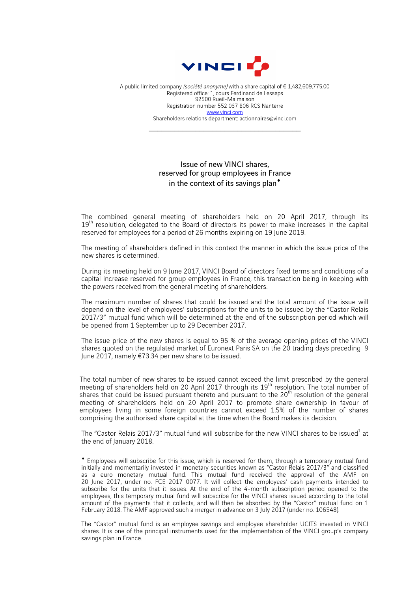

A public limited company (société anonyme) with a share capital of €1,482,609,775.00 Registered office: 1, cours Ferdinand de Lesseps 92500 Rueil-Malmaison Registration number 552 037 806 RCS Nanterre www.vinci.com Shareholders relations department: actionnaires@vinci.com

 $\mathcal{L}_\text{max}$  , and the set of the set of the set of the set of the set of the set of the set of the set of the set of the set of the set of the set of the set of the set of the set of the set of the set of the set of the

## Issue of new VINCI shares, reserved for group employees in France in the context of its savings plan $^*$

The combined general meeting of shareholders held on 20 April 2017, through its  $19<sup>th</sup>$  resolution, delegated to the Board of directors its power to make increases in the capital reserved for employees for a period of 26 months expiring on 19 June 2019.

The meeting of shareholders defined in this context the manner in which the issue price of the new shares is determined.

During its meeting held on 9 June 2017, VINCI Board of directors fixed terms and conditions of a capital increase reserved for group employees in France, this transaction being in keeping with the powers received from the general meeting of shareholders.

The maximum number of shares that could be issued and the total amount of the issue will depend on the level of employees' subscriptions for the units to be issued by the "Castor Relais 2017/3" mutual fund which will be determined at the end of the subscription period which will be opened from 1 September up to 29 December 2017.

The issue price of the new shares is equal to 95 % of the average opening prices of the VINCI shares quoted on the regulated market of Euronext Paris SA on the 20 trading days preceding 9 June 2017, namely €73.34 per new share to be issued.

The total number of new shares to be issued cannot exceed the limit prescribed by the general meeting of shareholders held on 20 April 2017 through its 19<sup>th</sup> resolution. The total number of shares that could be issued pursuant thereto and pursuant to the  $20<sup>th</sup>$  resolution of the general meeting of shareholders held on 20 April 2017 to promote share ownership in favour of employees living in some foreign countries cannot exceed 1.5% of the number of shares comprising the authorised share capital at the time when the Board makes its decision.

The "Castor Relais 2017/3" mutual fund will subscribe for the new VINCI shares to be issued<sup>1</sup> at the end of January 2018.

 $\overline{a}$ 

The "Castor" mutual fund is an employee savings and employee shareholder UCITS invested in VINCI shares. It is one of the principal instruments used for the implementation of the VINCI group's company savings plan in France.

<sup>¨</sup> Employees will subscribe for this issue, which is reserved for them, through a temporary mutual fund initially and momentarily invested in monetary securities known as "Castor Relais 2017/3" and classified as a euro monetary mutual fund. This mutual fund received the approval of the AMF on 20 June 2017, under no. FCE 2017 0077. It will collect the employees' cash payments intended to subscribe for the units that it issues. At the end of the 4-month subscription period opened to the employees, this temporary mutual fund will subscribe for the VINCI shares issued according to the total amount of the payments that it collects, and will then be absorbed by the "Castor" mutual fund on 1 February 2018. The AMF approved such a merger in advance on 3 July 2017 (under no. 106548).